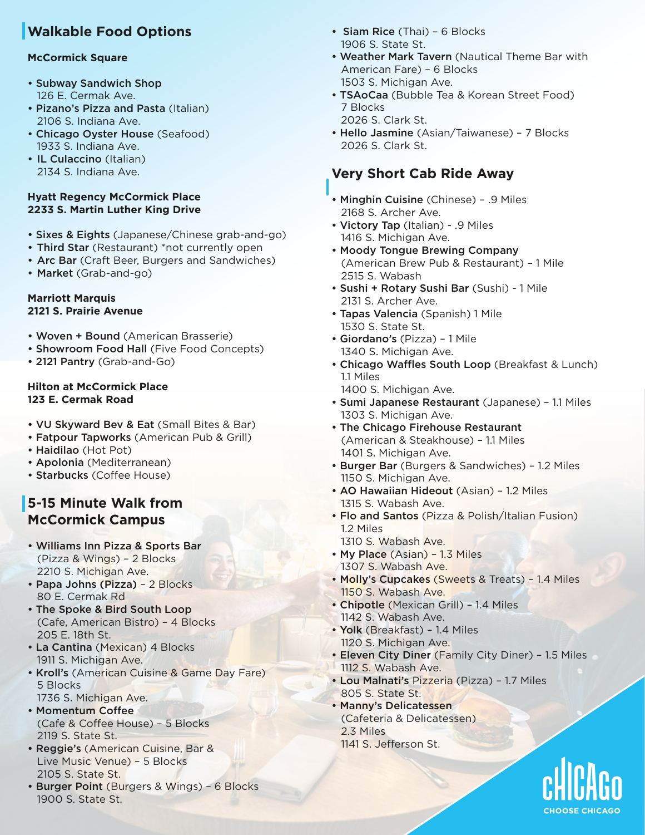# **Walkable Food Options**

### **McCormick Square**

- Subway Sandwich Shop 126 E. Cermak Ave.
- Pizano's Pizza and Pasta (Italian) 2106 S. Indiana Ave.
- Chicago Oyster House (Seafood) 1933 S. Indiana Ave.
- IL Culaccino (Italian) 2134 S. Indiana Ave.

#### **Hyatt Regency McCormick Place 2233 S. Martin Luther King Drive**

- Sixes & Eights (Japanese/Chinese grab-and-go)
- Third Star (Restaurant) \*not currently open
- Arc Bar (Craft Beer, Burgers and Sandwiches)
- Market (Grab-and-go)

#### **Marriott Marquis 2121 S. Prairie Avenue**

- Woven + Bound (American Brasserie)
- Showroom Food Hall (Five Food Concepts)
- 2121 Pantry (Grab-and-Go)

#### **Hilton at McCormick Place 123 E. Cermak Road**

- VU Skyward Bev & Eat (Small Bites & Bar)
- Fatpour Tapworks (American Pub & Grill)
- Haidilao (Hot Pot)
- Apolonia (Mediterranean)
- Starbucks (Coffee House)

### **5-15 Minute Walk from McCormick Campus**

- Williams Inn Pizza & Sports Bar (Pizza & Wings) – 2 Blocks 2210 S. Michigan Ave.
- Papa Johns (Pizza) 2 Blocks 80 E. Cermak Rd
- The Spoke & Bird South Loop (Cafe, American Bistro) – 4 Blocks 205 E. 18th St.
- La Cantina (Mexican) 4 Blocks 1911 S. Michigan Ave.
- Kroll's (American Cuisine & Game Day Fare) 5 Blocks 1736 S. Michigan Ave.
- Momentum Coffee (Cafe & Coffee House) - 5 Blocks 2119 S. State St.
- Reggie's (American Cuisine, Bar & Live Music Venue) – 5 Blocks 2105 S. State St.
- Burger Point (Burgers & Wings) 6 Blocks 1900 S. State St.
- Siam Rice (Thai) 6 Blocks 1906 S. State St.
- Weather Mark Tavern (Nautical Theme Bar with American Fare) – 6 Blocks 1503 S. Michigan Ave.
- TSAoCaa (Bubble Tea & Korean Street Food) 7 Blocks 2026 S. Clark St.
- Hello Jasmine (Asian/Taiwanese) 7 Blocks 2026 S. Clark St.

## **Very Short Cab Ride Away**

- Minghin Cuisine (Chinese) .9 Miles 2168 S. Archer Ave.
- Victory Tap (Italian) .9 Miles 1416 S. Michigan Ave.
- Moody Tongue Brewing Company (American Brew Pub & Restaurant) – 1 Mile 2515 S. Wabash
- Sushi + Rotary Sushi Bar (Sushi) 1 Mile 2131 S. Archer Ave.
- Tapas Valencia (Spanish) 1 Mile 1530 S. State St.
- Giordano's (Pizza) 1 Mile 1340 S. Michigan Ave.
- Chicago Waffles South Loop (Breakfast & Lunch) 1.1 Miles
- 1400 S. Michigan Ave.
- Sumi Japanese Restaurant (Japanese) 1.1 Miles 1303 S. Michigan Ave.
- The Chicago Firehouse Restaurant (American & Steakhouse) – 1.1 Miles 1401 S. Michigan Ave.
- Burger Bar (Burgers & Sandwiches) 1.2 Miles 1150 S. Michigan Ave.
- AO Hawaiian Hideout (Asian) 1.2 Miles 1315 S. Wabash Ave.
- Flo and Santos (Pizza & Polish/Italian Fusion) 1.2 Miles
- 1310 S. Wabash Ave.
- My Place (Asian) 1.3 Miles 1307 S. Wabash Ave.
- Molly's Cupcakes (Sweets & Treats) 1.4 Miles 1150 S. Wabash Ave.
- Chipotle (Mexican Grill) 1.4 Miles 1142 S. Wabash Ave.
- Yolk (Breakfast) 1.4 Miles 1120 S. Michigan Ave.
- Eleven City Diner (Family City Diner) 1.5 Miles 1112 S. Wabash Ave.
- Lou Malnati's Pizzeria (Pizza) 1.7 Miles 805 S. State St.
- Manny's Delicatessen (Cafeteria & Delicatessen) 2.3 Miles 1141 S. Jefferson St.